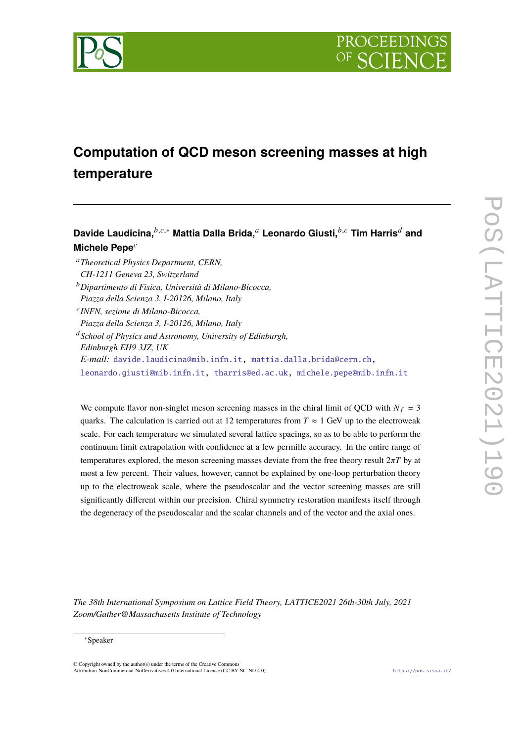



# **Computation of QCD meson screening masses at high temperature**

# Davide Laudicina, <sup>*b,c,∗*</sup> Mattia Dalla Brida,<sup>*a*</sup> Leonardo Giusti, <sup>*b,c*</sup> Tim Harris<sup>*d*</sup> and **Michele Pepe**<sup>c</sup>

- <sup>𝑎</sup>*Theoretical Physics Department, CERN, CH-1211 Geneva 23, Switzerland*
- <sup>𝑏</sup>*Dipartimento di Fisica, Università di Milano-Bicocca, Piazza della Scienza 3, I-20126, Milano, Italy*

*Piazza della Scienza 3, I-20126, Milano, Italy*

<sup>𝑑</sup>*School of Physics and Astronomy, University of Edinburgh, Edinburgh EH9 3JZ, UK E-mail:* [davide.laudicina@mib.infn.it,](mailto:davide.laudicina@mib.infn.it) [mattia.dalla.brida@cern.ch,](mailto:mattia.dalla.brida@cern.ch)

[leonardo.giusti@mib.infn.it,](mailto:leonardo.giusti@mib.infn.it) [tharris@ed.ac.uk,](mailto:tharris@ed.ac.uk) [michele.pepe@mib.infn.it](mailto:michele.pepe@mib.infn.it)

We compute flavor non-singlet meson screening masses in the chiral limit of QCD with  $N_f = 3$ quarks. The calculation is carried out at 12 temperatures from  $T \approx 1$  GeV up to the electroweak scale. For each temperature we simulated several lattice spacings, so as to be able to perform the continuum limit extrapolation with confidence at a few permille accuracy. In the entire range of temperatures explored, the meson screening masses deviate from the free theory result  $2\pi T$  by at most a few percent. Their values, however, cannot be explained by one-loop perturbation theory up to the electroweak scale, where the pseudoscalar and the vector screening masses are still significantly different within our precision. Chiral symmetry restoration manifests itself through the degeneracy of the pseudoscalar and the scalar channels and of the vector and the axial ones.

*The 38th International Symposium on Lattice Field Theory, LATTICE2021 26th-30th July, 2021 Zoom/Gather@Massachusetts Institute of Technology*

© Copyright owned by the author(s) under the terms of the Creative Commons Attribution-NonCommercial-NoDerivatives 4.0 International License (CC BY-NC-ND 4.0). <https://pos.sissa.it/>

𝑐 *INFN, sezione di Milano-Bicocca,*

<sup>∗</sup>Speaker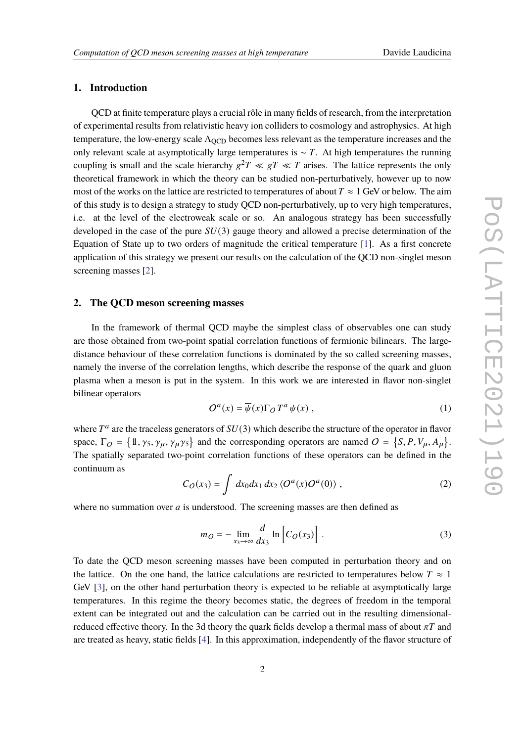# **1. Introduction**

QCD at finite temperature plays a crucial rôle in many fields of research, from the interpretation of experimental results from relativistic heavy ion colliders to cosmology and astrophysics. At high temperature, the low-energy scale Λ<sub>OCD</sub> becomes less relevant as the temperature increases and the only relevant scale at asymptotically large temperatures is  $\sim T$ . At high temperatures the running coupling is small and the scale hierarchy  $g^2T \ll gT \ll T$  arises. The lattice represents the only theoretical framework in which the theory can be studied non-perturbatively, however up to now most of the works on the lattice are restricted to temperatures of about  $T \approx 1$  GeV or below. The aim of this study is to design a strategy to study QCD non-perturbatively, up to very high temperatures, i.e. at the level of the electroweak scale or so. An analogous strategy has been successfully developed in the case of the pure  $SU(3)$  gauge theory and allowed a precise determination of the Equation of State up to two orders of magnitude the critical temperature [\[1\]](#page-7-0). As a first concrete application of this strategy we present our results on the calculation of the QCD non-singlet meson screening masses [\[2\]](#page-7-1).

### **2. The QCD meson screening masses**

In the framework of thermal QCD maybe the simplest class of observables one can study are those obtained from two-point spatial correlation functions of fermionic bilinears. The largedistance behaviour of these correlation functions is dominated by the so called screening masses, namely the inverse of the correlation lengths, which describe the response of the quark and gluon plasma when a meson is put in the system. In this work we are interested in flavor non-singlet bilinear operators

$$
O^a(x) = \overline{\psi}(x)\Gamma_O T^a \psi(x) , \qquad (1)
$$

where  $T^a$  are the traceless generators of  $SU(3)$  which describe the structure of the operator in flavor space,  $\Gamma_O = \{1, \gamma_5, \gamma_\mu, \gamma_\mu \gamma_5\}$  and the corresponding operators are named  $O = \{S, P, V_\mu, A_\mu\}.$ The spatially separated two-point correlation functions of these operators can be defined in the continuum as

<span id="page-1-0"></span>
$$
C_O(x_3) = \int dx_0 dx_1 dx_2 \langle O^a(x) O^a(0) \rangle , \qquad (2)
$$

where no summation over  $a$  is understood. The screening masses are then defined as

$$
m_O = -\lim_{x_3 \to \infty} \frac{d}{dx_3} \ln \left[ C_O(x_3) \right]. \tag{3}
$$

To date the QCD meson screening masses have been computed in perturbation theory and on the lattice. On the one hand, the lattice calculations are restricted to temperatures below  $T \approx 1$ GeV [\[3\]](#page-7-2), on the other hand perturbation theory is expected to be reliable at asymptotically large temperatures. In this regime the theory becomes static, the degrees of freedom in the temporal extent can be integrated out and the calculation can be carried out in the resulting dimensionalreduced effective theory. In the 3d theory the quark fields develop a thermal mass of about  $\pi T$  and are treated as heavy, static fields [\[4\]](#page-7-3). In this approximation, independently of the flavor structure of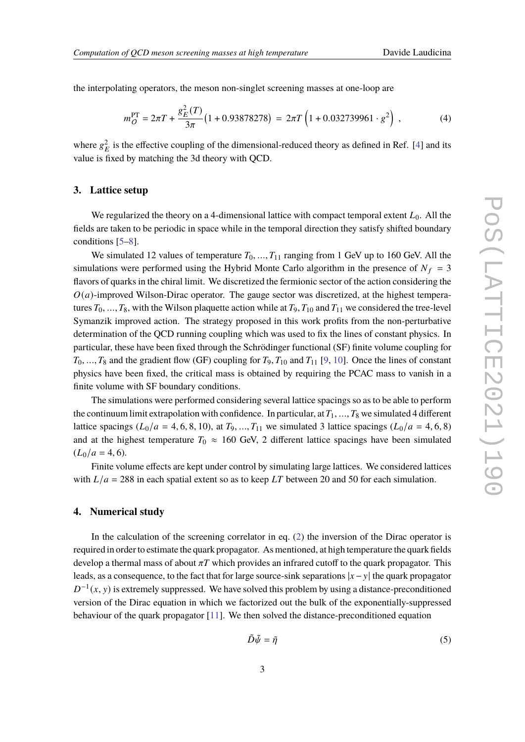the interpolating operators, the meson non-singlet screening masses at one-loop are

$$
m_Q^{\rm PT} = 2\pi T + \frac{g_E^2(T)}{3\pi} \left(1 + 0.93878278\right) = 2\pi T \left(1 + 0.032739961 \cdot g^2\right) ,\qquad (4)
$$

where  $g_E^2$  is the effective coupling of the dimensional-reduced theory as defined in Ref. [\[4\]](#page-7-3) and its value is fixed by matching the 3d theory with QCD.

# **3. Lattice setup**

We regularized the theory on a 4-dimensional lattice with compact temporal extent  $L_0$ . All the fields are taken to be periodic in space while in the temporal direction they satisfy shifted boundary conditions [\[5–](#page-7-4)[8\]](#page-7-5).

We simulated 12 values of temperature  $T_0, ..., T_{11}$  ranging from 1 GeV up to 160 GeV. All the simulations were performed using the Hybrid Monte Carlo algorithm in the presence of  $N_f = 3$ flavors of quarks in the chiral limit. We discretized the fermionic sector of the action considering the  $O(a)$ -improved Wilson-Dirac operator. The gauge sector was discretized, at the highest temperatures  $T_0, ..., T_8$ , with the Wilson plaquette action while at  $T_9, T_{10}$  and  $T_{11}$  we considered the tree-level Symanzik improved action. The strategy proposed in this work profits from the non-perturbative determination of the QCD running coupling which was used to fix the lines of constant physics. In particular, these have been fixed through the Schrödinger functional (SF) finite volume coupling for  $T_0, ..., T_8$  and the gradient flow (GF) coupling for  $T_9, T_{10}$  and  $T_{11}$  [\[9,](#page-7-6) [10\]](#page-7-7). Once the lines of constant physics have been fixed, the critical mass is obtained by requiring the PCAC mass to vanish in a finite volume with SF boundary conditions.

The simulations were performed considering several lattice spacings so as to be able to perform the continuum limit extrapolation with confidence. In particular, at  $T_1, ..., T_8$  we simulated 4 different lattice spacings ( $L_0/a = 4, 6, 8, 10$ ), at  $T_9, ..., T_{11}$  we simulated 3 lattice spacings ( $L_0/a = 4, 6, 8$ ) and at the highest temperature  $T_0 \approx 160$  GeV, 2 different lattice spacings have been simulated  $(L_0/a = 4, 6).$ 

Finite volume effects are kept under control by simulating large lattices. We considered lattices with  $L/a = 288$  in each spatial extent so as to keep LT between 20 and 50 for each simulation.

#### **4. Numerical study**

In the calculation of the screening correlator in eq. [\(2\)](#page-1-0) the inversion of the Dirac operator is required in order to estimate the quark propagator. As mentioned, at high temperature the quark fields develop a thermal mass of about  $\pi T$  which provides an infrared cutoff to the quark propagator. This leads, as a consequence, to the fact that for large source-sink separations  $|x - y|$  the quark propagator  $D^{-1}(x, y)$  is extremely suppressed. We have solved this problem by using a distance-preconditioned version of the Dirac equation in which we factorized out the bulk of the exponentially-suppressed behaviour of the quark propagator [\[11\]](#page-7-8). We then solved the distance-preconditioned equation

$$
\tilde{D}\tilde{\psi} = \tilde{\eta} \tag{5}
$$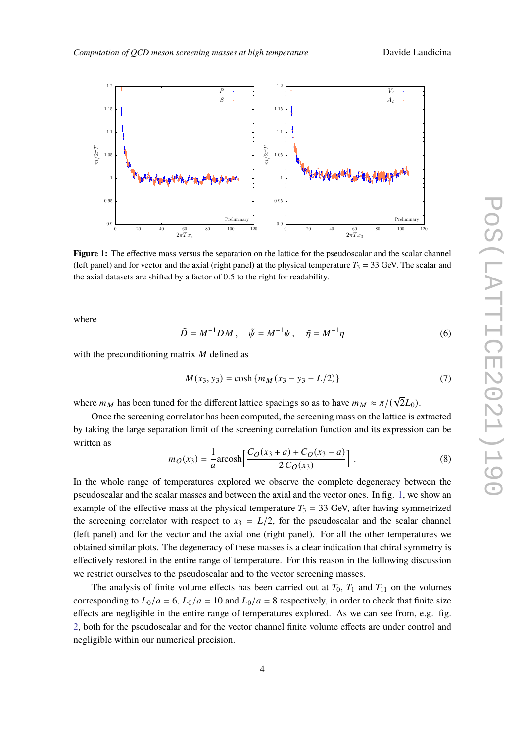<span id="page-3-0"></span>

**Figure 1:** The effective mass versus the separation on the lattice for the pseudoscalar and the scalar channel (left panel) and for vector and the axial (right panel) at the physical temperature  $T_3 = 33$  GeV. The scalar and the axial datasets are shifted by a factor of 0.5 to the right for readability.

where

$$
\tilde{D} = M^{-1}DM , \quad \tilde{\psi} = M^{-1}\psi , \quad \tilde{\eta} = M^{-1}\eta
$$
\n<sup>(6)</sup>

with the preconditioning matrix  $M$  defined as

$$
M(x_3, y_3) = \cosh\{m_M(x_3 - y_3 - L/2)\}\tag{7}
$$

where  $m_M$  has been tuned for the different lattice spacings so as to have  $m_M \approx \pi/(\sqrt{2}L_0)$ .

Once the screening correlator has been computed, the screening mass on the lattice is extracted by taking the large separation limit of the screening correlation function and its expression can be written as

$$
m_O(x_3) = \frac{1}{a} \operatorname{arcosh} \left[ \frac{C_O(x_3 + a) + C_O(x_3 - a)}{2 C_O(x_3)} \right].
$$
 (8)

In the whole range of temperatures explored we observe the complete degeneracy between the pseudoscalar and the scalar masses and between the axial and the vector ones. In fig. [1,](#page-3-0) we show an example of the effective mass at the physical temperature  $T_3 = 33$  GeV, after having symmetrized the screening correlator with respect to  $x_3 = L/2$ , for the pseudoscalar and the scalar channel (left panel) and for the vector and the axial one (right panel). For all the other temperatures we obtained similar plots. The degeneracy of these masses is a clear indication that chiral symmetry is effectively restored in the entire range of temperature. For this reason in the following discussion we restrict ourselves to the pseudoscalar and to the vector screening masses.

The analysis of finite volume effects has been carried out at  $T_0$ ,  $T_1$  and  $T_{11}$  on the volumes corresponding to  $L_0/a = 6$ ,  $L_0/a = 10$  and  $L_0/a = 8$  respectively, in order to check that finite size effects are negligible in the entire range of temperatures explored. As we can see from, e.g. fig. [2,](#page-4-0) both for the pseudoscalar and for the vector channel finite volume effects are under control and negligible within our numerical precision.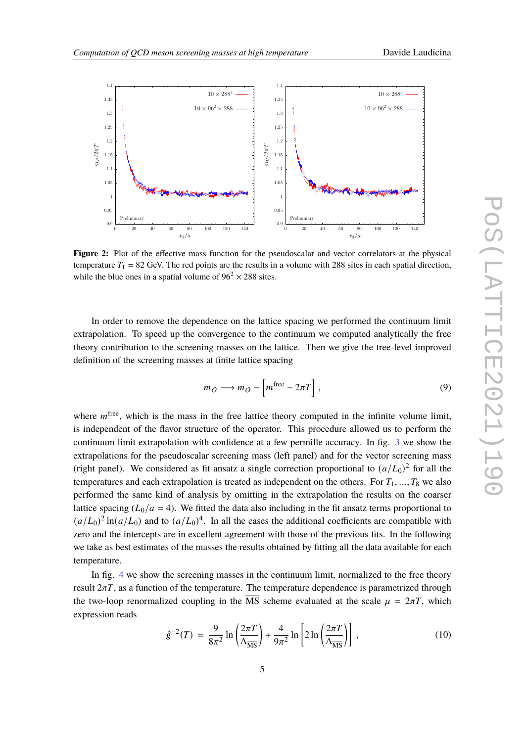<span id="page-4-0"></span>

Figure 2: Plot of the effective mass function for the pseudoscalar and vector correlators at the physical temperature  $T_1 = 82$  GeV. The red points are the results in a volume with 288 sites in each spatial direction, while the blue ones in a spatial volume of  $96^2 \times 288$  sites.

In order to remove the dependence on the lattice spacing we performed the continuum limit extrapolation. To speed up the convergence to the continuum we computed analytically the free theory contribution to the screening masses on the lattice. Then we give the tree-level improved definition of the screening masses at finite lattice spacing

$$
m_O \longrightarrow m_O - \left[ m^{\text{free}} - 2\pi T \right],\tag{9}
$$

where  $m^{\text{free}}$ , which is the mass in the free lattice theory computed in the infinite volume limit, is independent of the flavor structure of the operator. This procedure allowed us to perform the continuum limit extrapolation with confidence at a few permille accuracy. In fig. [3](#page-5-0) we show the extrapolations for the pseudoscalar screening mass (left panel) and for the vector screening mass (right panel). We considered as fit ansatz a single correction proportional to  $(a/L_0)^2$  for all the temperatures and each extrapolation is treated as independent on the others. For  $T_1, ..., T_8$  we also performed the same kind of analysis by omitting in the extrapolation the results on the coarser lattice spacing  $(L_0/a = 4)$ . We fitted the data also including in the fit ansatz terms proportional to  $(a/L_0)^2 \ln(a/L_0)$  and to  $(a/L_0)^4$ . In all the cases the additional coefficients are compatible with zero and the intercepts are in excellent agreement with those of the previous fits. In the following we take as best estimates of the masses the results obtained by fitting all the data available for each temperature.

In fig. [4](#page-5-1) we show the screening masses in the continuum limit, normalized to the free theory result  $2\pi T$ , as a function of the temperature. The temperature dependence is parametrized through the two-loop renormalized coupling in the  $\overline{\text{MS}}$  scheme evaluated at the scale  $\mu = 2\pi T$ , which expression reads

$$
\hat{g}^{-2}(T) = \frac{9}{8\pi^2} \ln\left(\frac{2\pi T}{\Lambda_{\overline{\text{MS}}}}\right) + \frac{4}{9\pi^2} \ln\left[2\ln\left(\frac{2\pi T}{\Lambda_{\overline{\text{MS}}}}\right)\right],\tag{10}
$$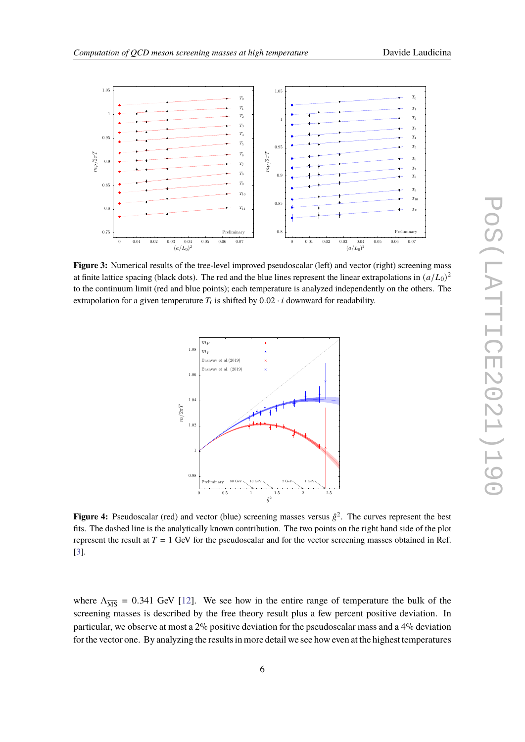

<span id="page-5-0"></span>

<span id="page-5-1"></span>**Figure 3:** Numerical results of the tree-level improved pseudoscalar (left) and vector (right) screening mass at finite lattice spacing (black dots). The red and the blue lines represent the linear extrapolations in  $(a/L_0)^2$ to the continuum limit (red and blue points); each temperature is analyzed independently on the others. The extrapolation for a given temperature  $T_i$  is shifted by  $0.02 \cdot i$  downward for readability.



**Figure 4:** Pseudoscalar (red) and vector (blue) screening masses versus  $\hat{g}^2$ . The curves represent the best fits. The dashed line is the analytically known contribution. The two points on the right hand side of the plot represent the result at  $T = 1$  GeV for the pseudoscalar and for the vector screening masses obtained in Ref. [\[3\]](#page-7-2).

where  $\Lambda_{\overline{\text{MS}}}$  = 0.341 GeV [\[12\]](#page-7-9). We see how in the entire range of temperature the bulk of the screening masses is described by the free theory result plus a few percent positive deviation. In particular, we observe at most a 2% positive deviation for the pseudoscalar mass and a 4% deviation for the vector one. By analyzing the results in more detail we see how even at the highest temperatures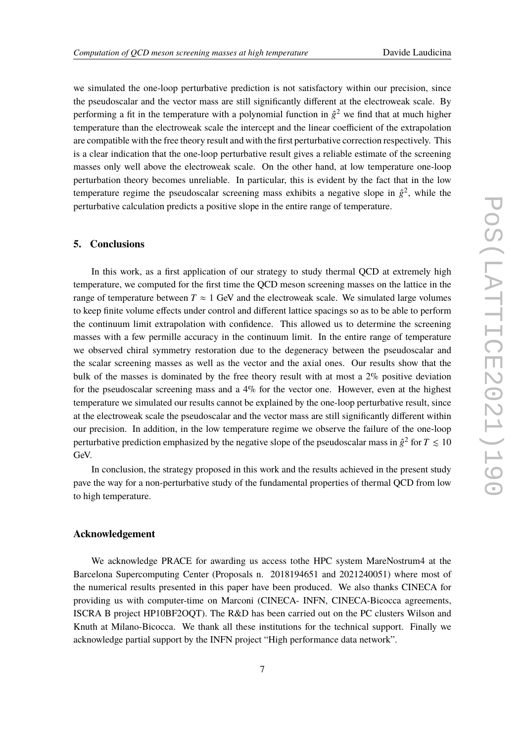we simulated the one-loop perturbative prediction is not satisfactory within our precision, since the pseudoscalar and the vector mass are still significantly different at the electroweak scale. By performing a fit in the temperature with a polynomial function in  $\hat{g}^2$  we find that at much higher temperature than the electroweak scale the intercept and the linear coefficient of the extrapolation are compatible with the free theory result and with the first perturbative correction respectively. This is a clear indication that the one-loop perturbative result gives a reliable estimate of the screening masses only well above the electroweak scale. On the other hand, at low temperature one-loop perturbation theory becomes unreliable. In particular, this is evident by the fact that in the low temperature regime the pseudoscalar screening mass exhibits a negative slope in  $\hat{g}^2$ , while the perturbative calculation predicts a positive slope in the entire range of temperature.

### **5. Conclusions**

In this work, as a first application of our strategy to study thermal QCD at extremely high temperature, we computed for the first time the QCD meson screening masses on the lattice in the range of temperature between  $T \approx 1$  GeV and the electroweak scale. We simulated large volumes to keep finite volume effects under control and different lattice spacings so as to be able to perform the continuum limit extrapolation with confidence. This allowed us to determine the screening masses with a few permille accuracy in the continuum limit. In the entire range of temperature we observed chiral symmetry restoration due to the degeneracy between the pseudoscalar and the scalar screening masses as well as the vector and the axial ones. Our results show that the bulk of the masses is dominated by the free theory result with at most a  $2\%$  positive deviation for the pseudoscalar screening mass and a  $4\%$  for the vector one. However, even at the highest temperature we simulated our results cannot be explained by the one-loop perturbative result, since at the electroweak scale the pseudoscalar and the vector mass are still significantly different within our precision. In addition, in the low temperature regime we observe the failure of the one-loop perturbative prediction emphasized by the negative slope of the pseudoscalar mass in  $\hat{g}^2$  for  $T\lesssim 10$ GeV.

In conclusion, the strategy proposed in this work and the results achieved in the present study pave the way for a non-perturbative study of the fundamental properties of thermal QCD from low to high temperature.

## **Acknowledgement**

We acknowledge PRACE for awarding us access to the HPC system MareNostrum4 at the Barcelona Supercomputing Center (Proposals n. 2018194651 and 2021240051) where most of the numerical results presented in this paper have been produced. We also thanks CINECA for providing us with computer-time on Marconi (CINECA- INFN, CINECA-Bicocca agreements, ISCRA B project HP10BF2OQT). The R&D has been carried out on the PC clusters Wilson and Knuth at Milano-Bicocca. We thank all these institutions for the technical support. Finally we acknowledge partial support by the INFN project "High performance data network".